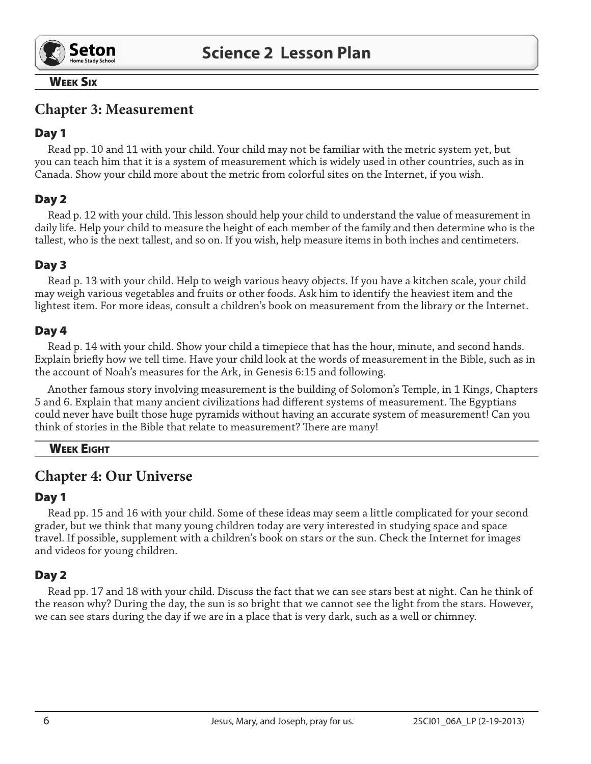

#### **WEEK SIX**

# **Chapter 3: Measurement**

## Day 1

Read pp. 10 and 11 with your child. Your child may not be familiar with the metric system yet, but you can teach him that it is a system of measurement which is widely used in other countries, such as in Canada. Show your child more about the metric from colorful sites on the Internet, if you wish.

# Day 2

Read p. 12 with your child. This lesson should help your child to understand the value of measurement in daily life. Help your child to measure the height of each member of the family and then determine who is the tallest, who is the next tallest, and so on. If you wish, help measure items in both inches and centimeters.

# Day 3

Read p. 13 with your child. Help to weigh various heavy objects. If you have a kitchen scale, your child may weigh various vegetables and fruits or other foods. Ask him to identify the heaviest item and the lightest item. For more ideas, consult a children's book on measurement from the library or the Internet.

### Day 4

Read p. 14 with your child. Show your child a timepiece that has the hour, minute, and second hands. Explain briefly how we tell time. Have your child look at the words of measurement in the Bible, such as in the account of Noah's measures for the Ark, in Genesis 6:15 and following.

Another famous story involving measurement is the building of Solomon's Temple, in 1 Kings, Chapters 5 and 6. Explain that many ancient civilizations had different systems of measurement. The Egyptians could never have built those huge pyramids without having an accurate system of measurement! Can you think of stories in the Bible that relate to measurement? There are many!

### **WEEK EIGHT**

# **Chapter 4: Our Universe**

### Day 1

Read pp. 15 and 16 with your child. Some of these ideas may seem a little complicated for your second grader, but we think that many young children today are very interested in studying space and space travel. If possible, supplement with a children's book on stars or the sun. Check the Internet for images and videos for young children.

### Day 2

Read pp. 17 and 18 with your child. Discuss the fact that we can see stars best at night. Can he think of the reason why? During the day, the sun is so bright that we cannot see the light from the stars. However, we can see stars during the day if we are in a place that is very dark, such as a well or chimney.